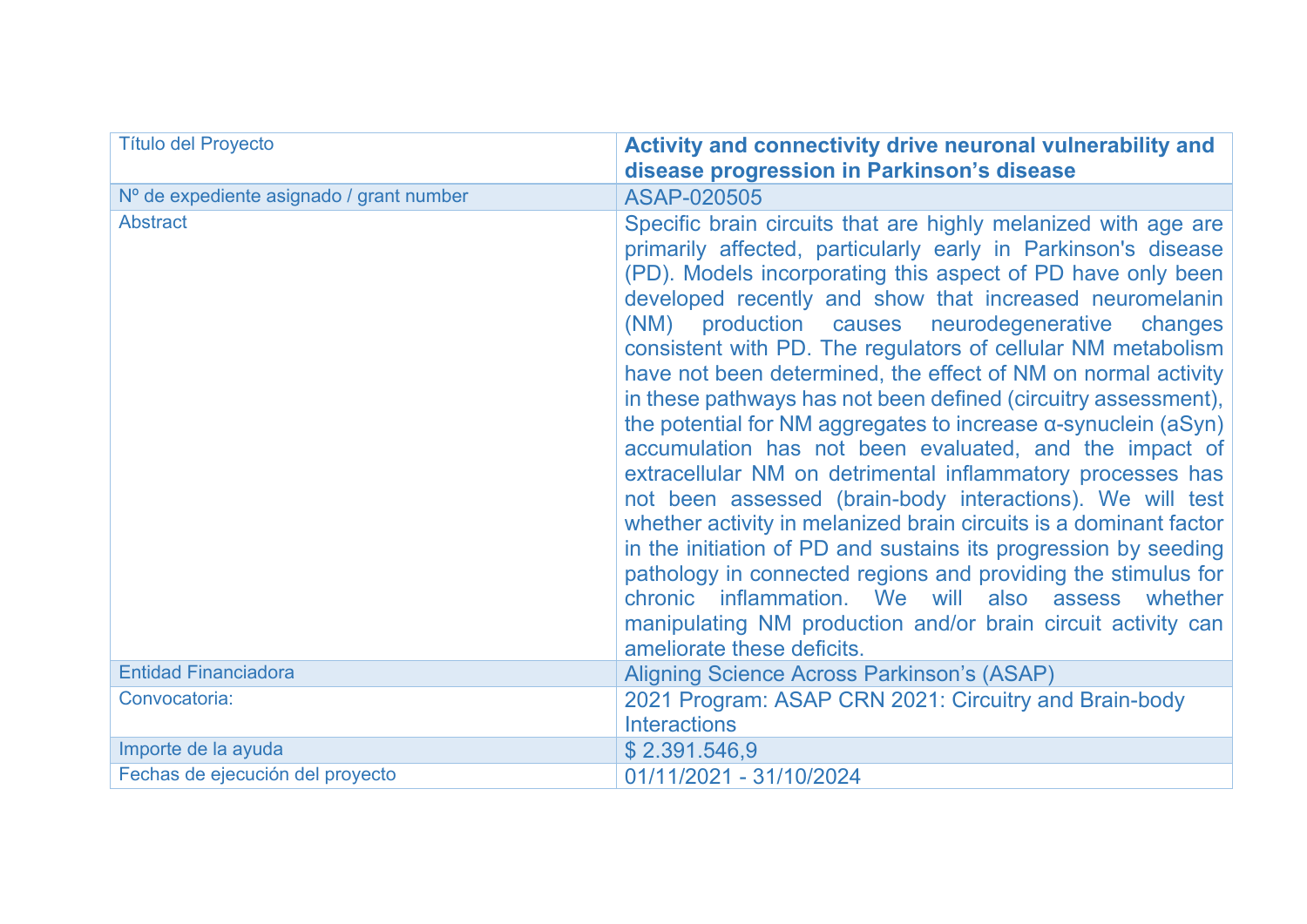| <b>Título del Proyecto</b>               | Activity and connectivity drive neuronal vulnerability and<br>disease progression in Parkinson's disease                                                                                                                                                                                                                                                                                                                                                                                                                                                                                                                                                                                                                                                                                                                                                                                                                                                                                                                                                                                                                                          |
|------------------------------------------|---------------------------------------------------------------------------------------------------------------------------------------------------------------------------------------------------------------------------------------------------------------------------------------------------------------------------------------------------------------------------------------------------------------------------------------------------------------------------------------------------------------------------------------------------------------------------------------------------------------------------------------------------------------------------------------------------------------------------------------------------------------------------------------------------------------------------------------------------------------------------------------------------------------------------------------------------------------------------------------------------------------------------------------------------------------------------------------------------------------------------------------------------|
| Nº de expediente asignado / grant number | ASAP-020505                                                                                                                                                                                                                                                                                                                                                                                                                                                                                                                                                                                                                                                                                                                                                                                                                                                                                                                                                                                                                                                                                                                                       |
| <b>Abstract</b>                          | Specific brain circuits that are highly melanized with age are<br>primarily affected, particularly early in Parkinson's disease<br>(PD). Models incorporating this aspect of PD have only been<br>developed recently and show that increased neuromelanin<br>production causes neurodegenerative<br>(NM)<br>changes<br>consistent with PD. The regulators of cellular NM metabolism<br>have not been determined, the effect of NM on normal activity<br>in these pathways has not been defined (circuitry assessment),<br>the potential for NM aggregates to increase $\alpha$ -synuclein (aSyn)<br>accumulation has not been evaluated, and the impact of<br>extracellular NM on detrimental inflammatory processes has<br>not been assessed (brain-body interactions). We will test<br>whether activity in melanized brain circuits is a dominant factor<br>in the initiation of PD and sustains its progression by seeding<br>pathology in connected regions and providing the stimulus for<br>chronic inflammation. We will also assess whether<br>manipulating NM production and/or brain circuit activity can<br>ameliorate these deficits. |
| <b>Entidad Financiadora</b>              | <b>Aligning Science Across Parkinson's (ASAP)</b>                                                                                                                                                                                                                                                                                                                                                                                                                                                                                                                                                                                                                                                                                                                                                                                                                                                                                                                                                                                                                                                                                                 |
| Convocatoria:                            | 2021 Program: ASAP CRN 2021: Circuitry and Brain-body<br><b>Interactions</b>                                                                                                                                                                                                                                                                                                                                                                                                                                                                                                                                                                                                                                                                                                                                                                                                                                                                                                                                                                                                                                                                      |
| Importe de la ayuda                      | \$2.391.546,9                                                                                                                                                                                                                                                                                                                                                                                                                                                                                                                                                                                                                                                                                                                                                                                                                                                                                                                                                                                                                                                                                                                                     |
| Fechas de ejecución del proyecto         | 01/11/2021 - 31/10/2024                                                                                                                                                                                                                                                                                                                                                                                                                                                                                                                                                                                                                                                                                                                                                                                                                                                                                                                                                                                                                                                                                                                           |